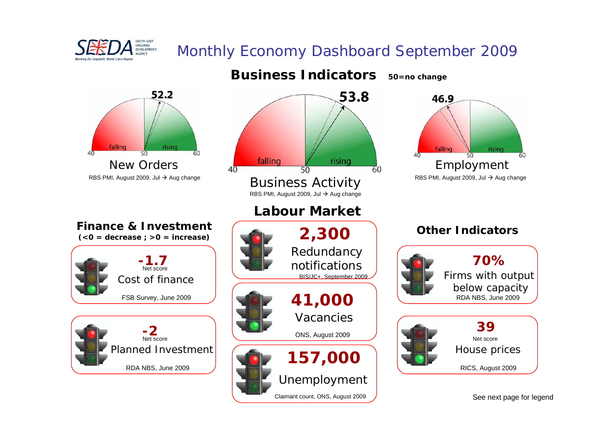

## Monthly Economy Dashboard September 2009



Claimant count, ONS, August 2009

See next page for legend